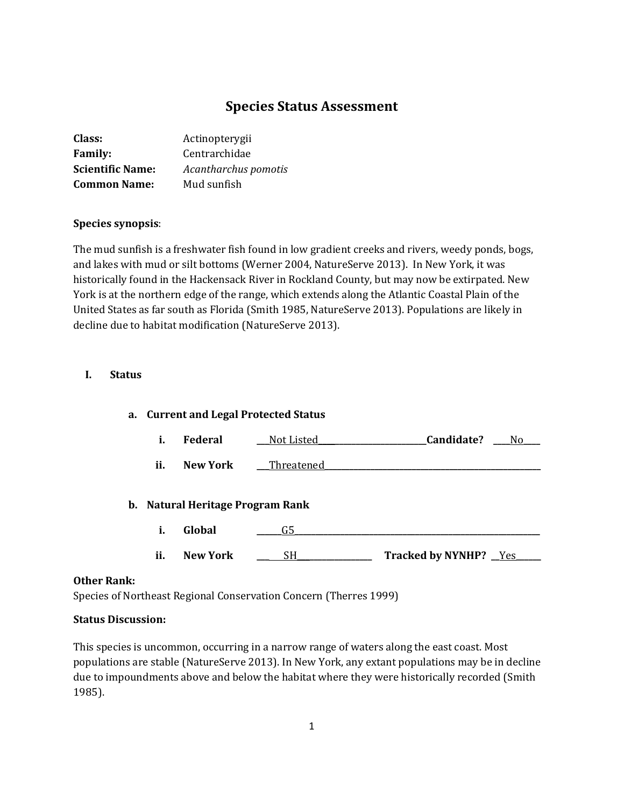# **Species Status Assessment**

| Class:                  | Actinopterygii       |
|-------------------------|----------------------|
| <b>Family:</b>          | Centrarchidae        |
| <b>Scientific Name:</b> | Acantharchus pomotis |
| <b>Common Name:</b>     | Mud sunfish          |

### **Species synopsis**:

The mud sunfish is a freshwater fish found in low gradient creeks and rivers, weedy ponds, bogs, and lakes with mud or silt bottoms (Werner 2004, NatureServe 2013). In New York, it was historically found in the Hackensack River in Rockland County, but may now be extirpated. New York is at the northern edge of the range, which extends along the Atlantic Coastal Plain of the United States as far south as Florida (Smith 1985, NatureServe 2013). Populations are likely in decline due to habitat modification (NatureServe 2013).

#### **I. Status**

| a. Current and Legal Protected Status |                                  |            |                              |  |
|---------------------------------------|----------------------------------|------------|------------------------------|--|
| i.                                    | <b>Federal</b>                   | Not Listed | Candidate?<br>No.            |  |
| ii.                                   | New York                         | Threatened |                              |  |
|                                       | b. Natural Heritage Program Rank |            |                              |  |
| i.                                    | Global                           | G5         |                              |  |
| ii.                                   | New York                         | SH.        | <b>Tracked by NYNHP?</b> Yes |  |

#### **Other Rank:**

Species of Northeast Regional Conservation Concern (Therres 1999)

### **Status Discussion:**

This species is uncommon, occurring in a narrow range of waters along the east coast. Most populations are stable (NatureServe 2013). In New York, any extant populations may be in decline due to impoundments above and below the habitat where they were historically recorded (Smith 1985).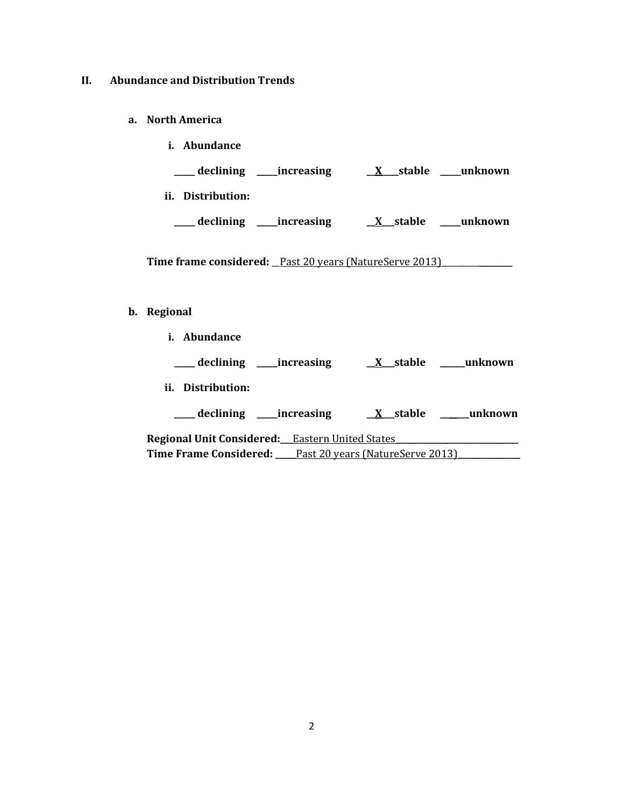## **II. Abundance and Distribution Trends**

**a. North America**

| <i>i.</i> Abundance     |                        |
|-------------------------|------------------------|
| declining<br>increasing | unknown<br>stable<br>X |
| ii.<br>Distribution:    |                        |
| increasing<br>declining | unknown<br>stable      |

Time frame considered: <u>Past 20 years (NatureServe 2013)</u>

# **b. Regional**

**i. Abundance**

| declining _______increasing                                    | $X$ stable | unknown |
|----------------------------------------------------------------|------------|---------|
| Distribution:<br>ii.                                           |            |         |
| _declining ____increasing                                      | X stable   | unknown |
| Regional Unit Considered: Eastern United States                |            |         |
| <b>Time Frame Considered:</b> Past 20 years (NatureServe 2013) |            |         |
|                                                                |            |         |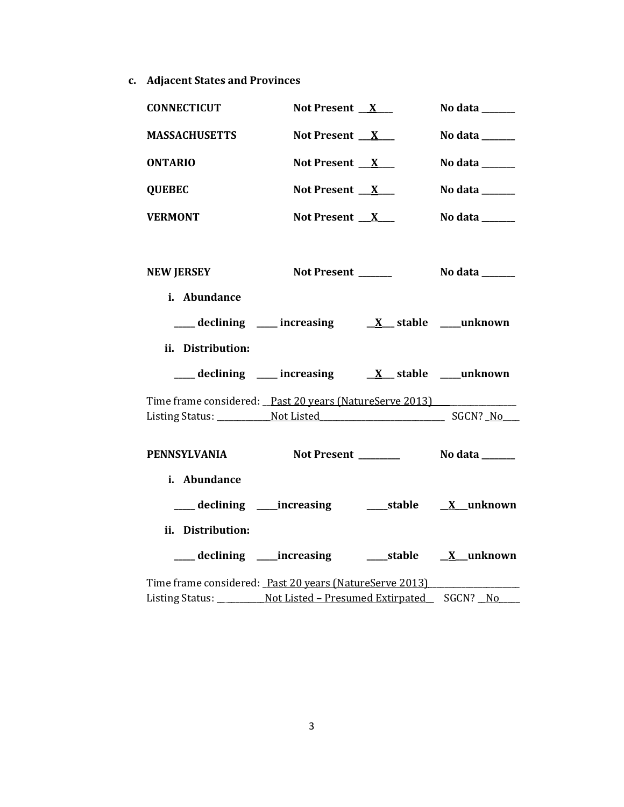**c. Adjacent States and Provinces**

| <b>CONNECTICUT</b>                                                          | Not Present $X_{-}$                                         | No data $\_\_\_\_\_\_\_\_\_\_\_\_\$ |
|-----------------------------------------------------------------------------|-------------------------------------------------------------|-------------------------------------|
| <b>MASSACHUSETTS</b>                                                        | Not Present $X$                                             | No data ______                      |
| <b>ONTARIO</b>                                                              | Not Present $X$                                             | No data ______                      |
| <b>QUEBEC</b>                                                               | Not Present $X$                                             | No data $\_\_\_\_\_\_\_\_\_\_\_\$   |
| <b>VERMONT</b>                                                              | Not Present $X$                                             | No data ______                      |
| <b>NEW JERSEY</b>                                                           | Not Present ______                                          | No data $\_\_$                      |
| i. Abundance                                                                |                                                             |                                     |
|                                                                             | ___ declining ___ increasing ___ $X$ __ stable ____ unknown |                                     |
| ii. Distribution:                                                           |                                                             |                                     |
|                                                                             | ___ declining ___ increasing ___ X__ stable ___unknown      |                                     |
| Time frame considered: Past 20 years (NatureServe 2013)                     |                                                             |                                     |
|                                                                             |                                                             |                                     |
| <b>PENNSYLVANIA</b>                                                         |                                                             |                                     |
| i. Abundance                                                                |                                                             |                                     |
|                                                                             | ___ declining ____increasing ______stable ___ X__unknown    |                                     |
| ii. Distribution:                                                           |                                                             |                                     |
|                                                                             | ___ declining ____increasing _______stable ___ X__unknown   |                                     |
| Time frame considered: Past 20 years (NatureServe 2013)                     |                                                             |                                     |
| Listing Status: ____________ Not Listed - Presumed Extirpated ___ SGCN? _No |                                                             |                                     |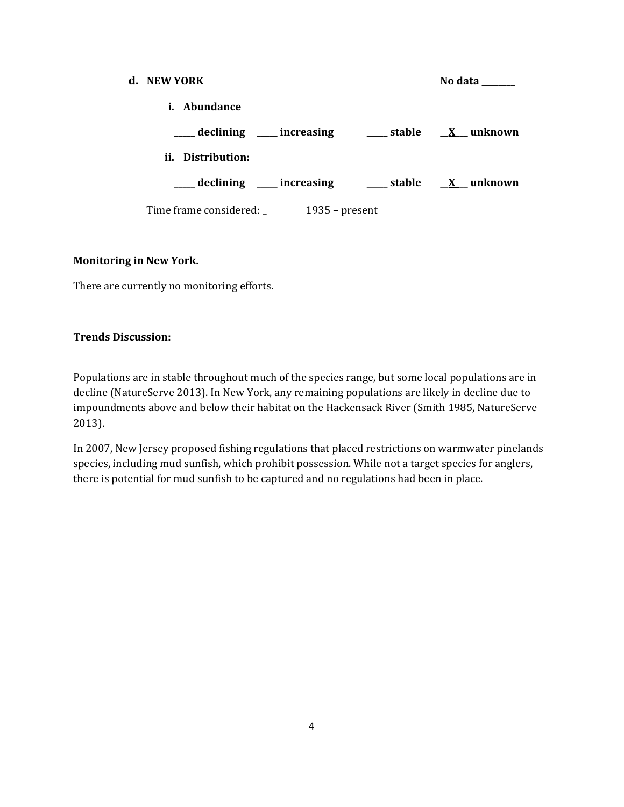| d. NEW YORK                                                                                                                             |  | No data |
|-----------------------------------------------------------------------------------------------------------------------------------------|--|---------|
| i. Abundance                                                                                                                            |  |         |
| $\frac{1}{\sqrt{1-x^2}}$ declining $\frac{1}{\sqrt{1-x^2}}$ increasing $\frac{1}{\sqrt{1-x^2}}$ stable $\frac{1}{\sqrt{1-x^2}}$ unknown |  |         |
| ii. Distribution:                                                                                                                       |  |         |
| declining ____ increasing _____ stable _____ X___ unknown                                                                               |  |         |
| Time frame considered: 1935 – present                                                                                                   |  |         |

## **Monitoring in New York.**

There are currently no monitoring efforts.

## **Trends Discussion:**

Populations are in stable throughout much of the species range, but some local populations are in decline (NatureServe 2013). In New York, any remaining populations are likely in decline due to impoundments above and below their habitat on the Hackensack River (Smith 1985, NatureServe 2013).

In 2007, New Jersey proposed fishing regulations that placed restrictions on warmwater pinelands species, including mud sunfish, which prohibit possession. While not a target species for anglers, there is potential for mud sunfish to be captured and no regulations had been in place.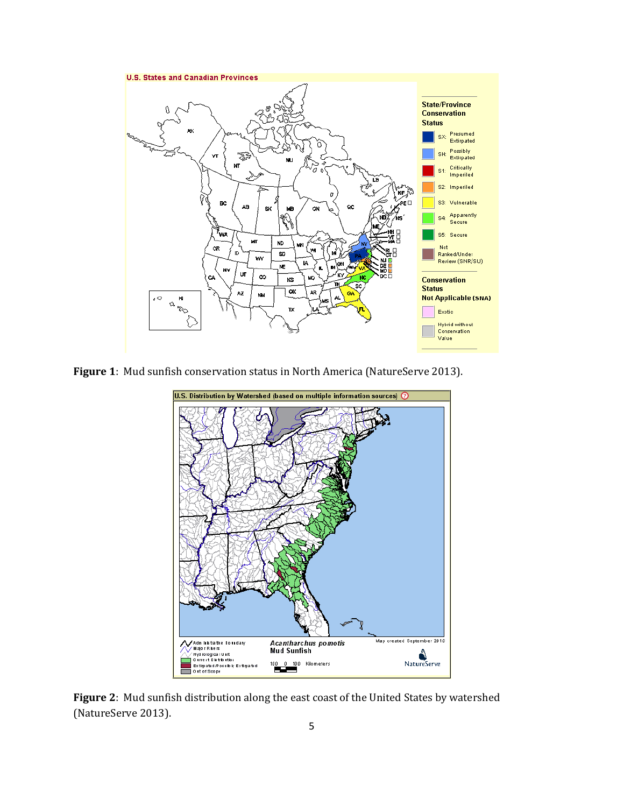

**Figure 1**: Mud sunfish conservation status in North America (NatureServe 2013).



**Figure 2**: Mud sunfish distribution along the east coast of the United States by watershed (NatureServe 2013).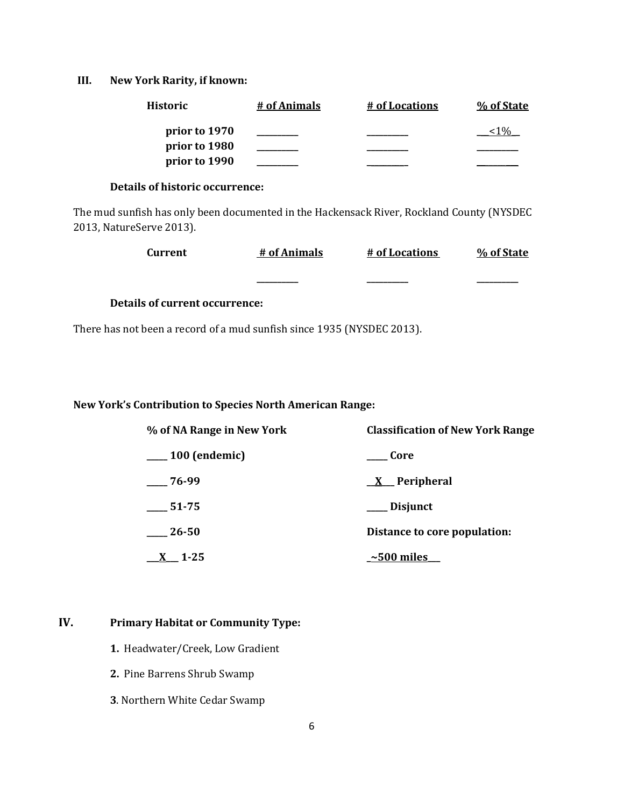### **III. New York Rarity, if known:**

| <b>Historic</b> | # of Animals | # of Locations | % of State |
|-----------------|--------------|----------------|------------|
| prior to 1970   |              |                |            |
| prior to 1980   |              |                |            |
| prior to 1990   |              |                |            |

## **Details of historic occurrence:**

The mud sunfish has only been documented in the Hackensack River, Rockland County (NYSDEC 2013, NatureServe 2013).

| Current | # of Animals | # of Locations | % of State |
|---------|--------------|----------------|------------|
|         | __________   | __________     | _________  |

## **Details of current occurrence:**

There has not been a record of a mud sunfish since 1935 (NYSDEC 2013).

### **New York's Contribution to Species North American Range:**

| % of NA Range in New York | <b>Classification of New York Range</b> |
|---------------------------|-----------------------------------------|
| $\_\_100$ (endemic)       | <b>Core</b>                             |
| $-76-99$                  | $X$ Peripheral                          |
| 51-75                     | __ Disjunct                             |
| $-26-50$                  | Distance to core population:            |
| $1 - 25$                  | $\sim$ 500 miles                        |

## **IV. Primary Habitat or Community Type:**

- **1.** Headwater/Creek, Low Gradient
- **2.** Pine Barrens Shrub Swamp
- **3**. Northern White Cedar Swamp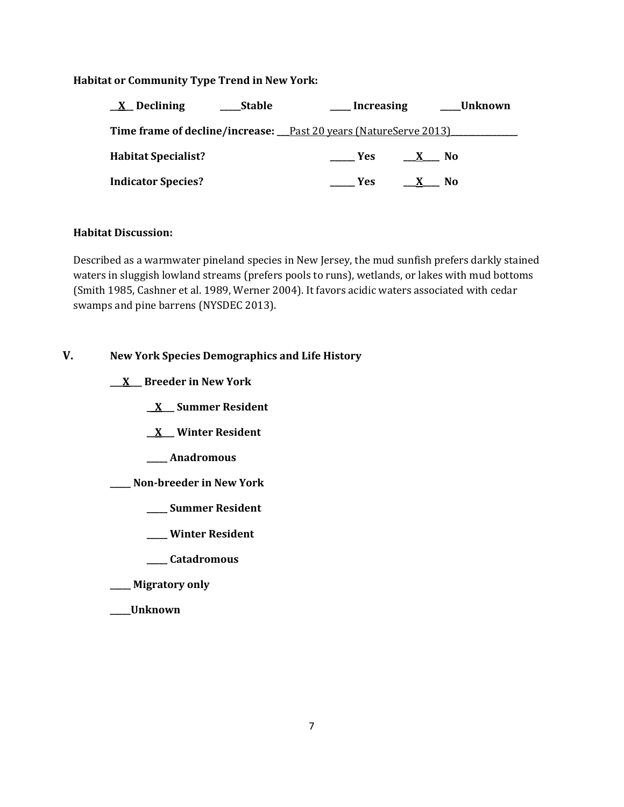### **Habitat or Community Type Trend in New York:**

| $X$ Declining              | <b>Stable</b> | Increasing                                                              |              | Unknown |
|----------------------------|---------------|-------------------------------------------------------------------------|--------------|---------|
|                            |               | <b>Time frame of decline/increase:</b> Past 20 years (NatureServe 2013) |              |         |
| <b>Habitat Specialist?</b> |               | <b>Example SE</b>                                                       | $\mathbf{X}$ | - No    |
| <b>Indicator Species?</b>  |               | <b>Yes</b>                                                              |              | N0      |

## **Habitat Discussion:**

Described as a warmwater pineland species in New Jersey, the mud sunfish prefers darkly stained waters in sluggish lowland streams (prefers pools to runs), wetlands, or lakes with mud bottoms (Smith 1985, Cashner et al. 1989, Werner 2004). It favors acidic waters associated with cedar swamps and pine barrens (NYSDEC 2013).

## **V. New York Species Demographics and Life History**

**\_\_\_X\_\_\_ Breeder in New York**

- **\_\_X\_\_\_ Summer Resident**
- **\_\_X\_\_\_ Winter Resident**
- **\_\_\_\_\_ Anadromous**
- **\_\_\_\_\_ Non-breeder in New York**
	- **\_\_\_\_\_ Summer Resident**
	- **\_\_\_\_\_ Winter Resident**
	- **\_\_\_\_\_ Catadromous**
- **\_\_\_\_\_ Migratory only**
- **\_\_\_\_\_Unknown**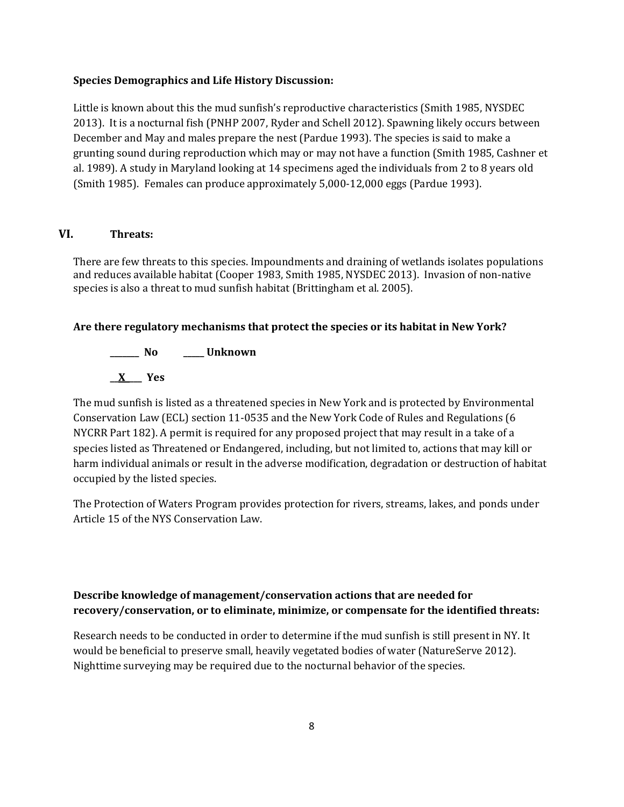#### **Species Demographics and Life History Discussion:**

Little is known about this the mud sunfish's reproductive characteristics (Smith 1985, NYSDEC 2013). It is a nocturnal fish (PNHP 2007, Ryder and Schell 2012). Spawning likely occurs between December and May and males prepare the nest (Pardue 1993). The species is said to make a grunting sound during reproduction which may or may not have a function (Smith 1985, Cashner et al. 1989). A study in Maryland looking at 14 specimens aged the individuals from 2 to 8 years old (Smith 1985). Females can produce approximately 5,000-12,000 eggs (Pardue 1993).

### **VI. Threats:**

There are few threats to this species. Impoundments and draining of wetlands isolates populations and reduces available habitat (Cooper 1983, Smith 1985, NYSDEC 2013). Invasion of non-native species is also a threat to mud sunfish habitat (Brittingham et al. 2005).

#### **Are there regulatory mechanisms that protect the species or its habitat in New York?**

**\_\_\_\_\_\_\_ No \_\_\_\_\_ Unknown \_\_X\_\_\_\_ Yes** 

The mud sunfish is listed as a threatened species in New York and is protected by Environmental Conservation Law (ECL) section 11-0535 and the New York Code of Rules and Regulations (6 NYCRR Part 182). A permit is required for any proposed project that may result in a take of a species listed as Threatened or Endangered, including, but not limited to, actions that may kill or harm individual animals or result in the adverse modification, degradation or destruction of habitat occupied by the listed species.

The Protection of Waters Program provides protection for rivers, streams, lakes, and ponds under Article 15 of the NYS Conservation Law.

## **Describe knowledge of management/conservation actions that are needed for recovery/conservation, or to eliminate, minimize, or compensate for the identified threats:**

Research needs to be conducted in order to determine if the mud sunfish is still present in NY. It would be beneficial to preserve small, heavily vegetated bodies of water (NatureServe 2012). Nighttime surveying may be required due to the nocturnal behavior of the species.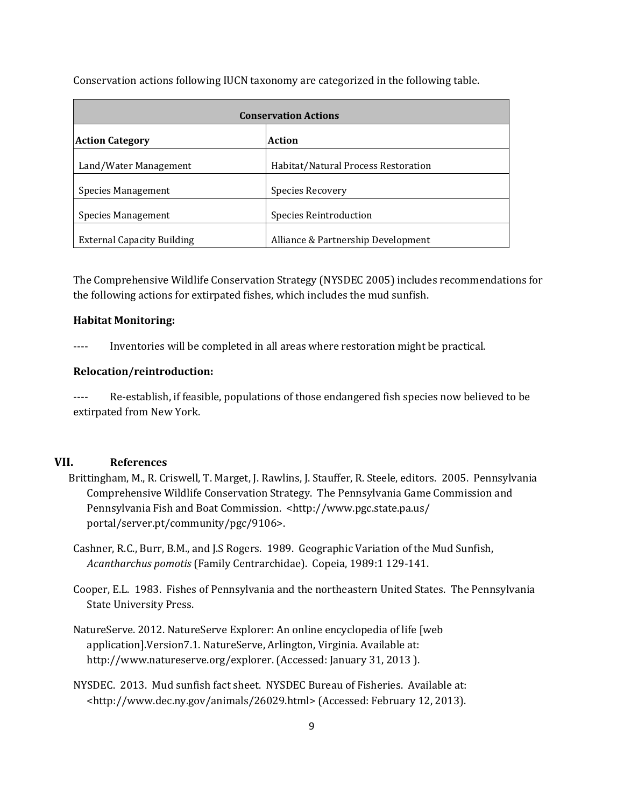Conservation actions following IUCN taxonomy are categorized in the following table.

| <b>Conservation Actions</b>                                |                                     |  |
|------------------------------------------------------------|-------------------------------------|--|
| Action<br><b>Action Category</b>                           |                                     |  |
| Land/Water Management                                      | Habitat/Natural Process Restoration |  |
| <b>Species Management</b><br>Species Recovery              |                                     |  |
| <b>Species Reintroduction</b><br><b>Species Management</b> |                                     |  |
| <b>External Capacity Building</b>                          | Alliance & Partnership Development  |  |

The Comprehensive Wildlife Conservation Strategy (NYSDEC 2005) includes recommendations for the following actions for extirpated fishes, which includes the mud sunfish.

#### **Habitat Monitoring:**

---- Inventories will be completed in all areas where restoration might be practical.

#### **Relocation/reintroduction:**

---- Re-establish, if feasible, populations of those endangered fish species now believed to be extirpated from New York.

## **VII. References**

- Brittingham, M., R. Criswell, T. Marget, J. Rawlins, J. Stauffer, R. Steele, editors. 2005. Pennsylvania Comprehensive Wildlife Conservation Strategy. The Pennsylvania Game Commission and Pennsylvania Fish and Boat Commission. <http://www.pgc.state.pa.us/ portal/server.pt/community/pgc/9106>.
- Cashner, R.C., Burr, B.M., and J.S Rogers. 1989. Geographic Variation of the Mud Sunfish, *Acantharchus pomotis* (Family Centrarchidae). Copeia, 1989:1 129-141.
- Cooper, E.L. 1983. Fishes of Pennsylvania and the northeastern United States. The Pennsylvania State University Press.
- NatureServe. 2012. NatureServe Explorer: An online encyclopedia of life [web application].Version7.1. NatureServe, Arlington, Virginia. Available at: http://www.natureserve.org/explorer. (Accessed: January 31, 2013 ).
- NYSDEC. 2013. Mud sunfish fact sheet. NYSDEC Bureau of Fisheries. Available at: <http://www.dec.ny.gov/animals/26029.html> (Accessed: February 12, 2013).